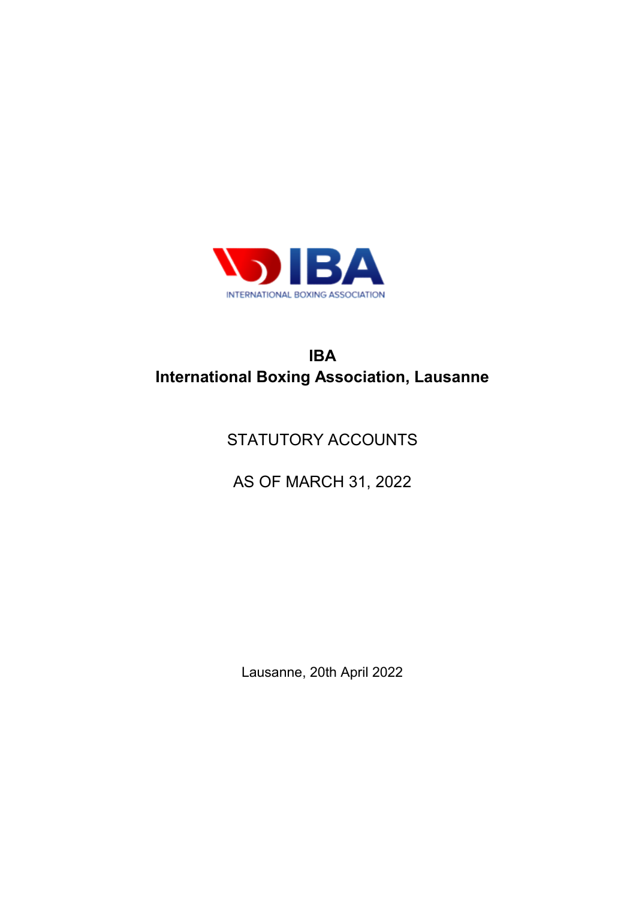

# IBA International Boxing Association, Lausanne

# STATUTORY ACCOUNTS

AS OF MARCH 31, 2022

Lausanne, 20th April 2022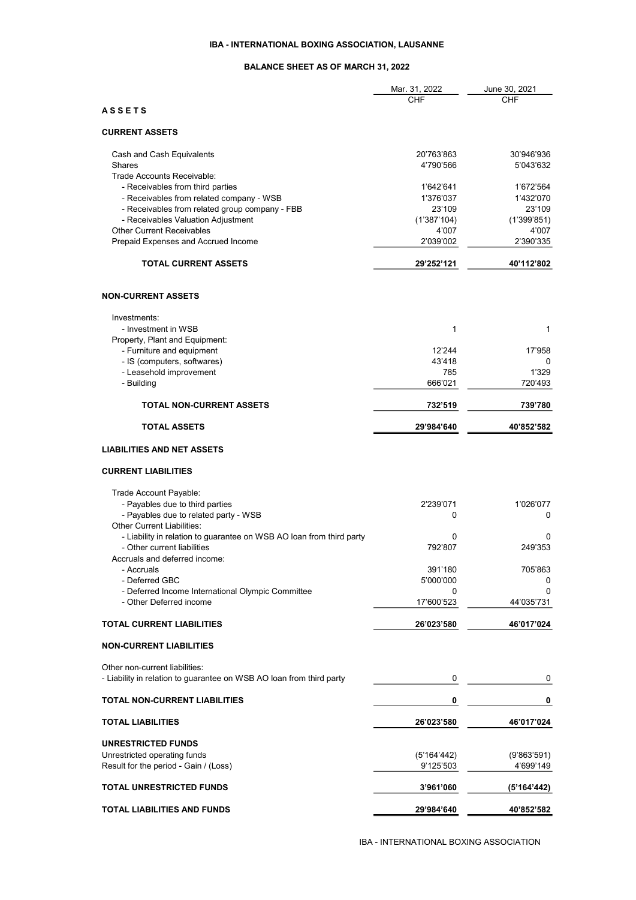### IBA - INTERNATIONAL BOXING ASSOCIATION, LAUSANNE

## BALANCE SHEET AS OF MARCH 31, 2022

| <b>CHF</b><br>CHF<br><b>ASSETS</b><br><b>CURRENT ASSETS</b><br>20'763'863<br>30'946'936<br>Cash and Cash Equivalents<br>Shares<br>4'790'566<br>5'043'632<br>Trade Accounts Receivable:<br>- Receivables from third parties<br>1'642'641<br>1'672'564<br>- Receivables from related company - WSB<br>1'376'037<br>1'432'070<br>- Receivables from related group company - FBB<br>23'109<br>23'109<br>- Receivables Valuation Adjustment<br>(1'387'104)<br>(1'399'851)<br><b>Other Current Receivables</b><br>4'007<br>4'007<br>Prepaid Expenses and Accrued Income<br>2'039'002<br>2'390'335<br><b>TOTAL CURRENT ASSETS</b><br>29'252'121<br>40'112'802<br><b>NON-CURRENT ASSETS</b><br>Investments:<br>- Investment in WSB<br>1<br>1<br>Property, Plant and Equipment:<br>- Furniture and equipment<br>12'244<br>17'958<br>- IS (computers, softwares)<br>43'418<br>0<br>- Leasehold improvement<br>785<br>1'329<br>- Building<br>666'021<br>720'493<br><b>TOTAL NON-CURRENT ASSETS</b><br>732'519<br>739'780<br><b>TOTAL ASSETS</b><br>29'984'640<br>40'852'582<br><b>LIABILITIES AND NET ASSETS</b><br><b>CURRENT LIABILITIES</b><br>Trade Account Payable:<br>- Payables due to third parties<br>1'026'077<br>2'239'071<br>- Payables due to related party - WSB<br>0<br>0<br>Other Current Liabilities:<br>- Liability in relation to guarantee on WSB AO loan from third party<br>0<br>0<br>- Other current liabilities<br>792'807<br>249'353<br>Accruals and deferred income:<br>- Accruals<br>391'180<br>705'863<br>- Deferred GBC<br>5'000'000<br>0<br>- Deferred Income International Olympic Committee<br>0<br>0<br>- Other Deferred income<br>17'600'523<br>44'035'731<br><b>TOTAL CURRENT LIABILITIES</b><br>26'023'580<br>46'017'024<br><b>NON-CURRENT LIABILITIES</b><br>Other non-current liabilities:<br>- Liability in relation to guarantee on WSB AO loan from third party<br>0<br>0<br><b>TOTAL NON-CURRENT LIABILITIES</b><br>0<br>0<br><b>TOTAL LIABILITIES</b><br>26'023'580<br>46'017'024<br>UNRESTRICTED FUNDS<br>Unrestricted operating funds<br>(5'164'442)<br>(9'863'591)<br>Result for the period - Gain / (Loss)<br>9'125'503<br>4'699'149<br><b>TOTAL UNRESTRICTED FUNDS</b><br>3'961'060<br>(5'164'442) |                             | Mar. 31, 2022 | June 30, 2021 |
|-----------------------------------------------------------------------------------------------------------------------------------------------------------------------------------------------------------------------------------------------------------------------------------------------------------------------------------------------------------------------------------------------------------------------------------------------------------------------------------------------------------------------------------------------------------------------------------------------------------------------------------------------------------------------------------------------------------------------------------------------------------------------------------------------------------------------------------------------------------------------------------------------------------------------------------------------------------------------------------------------------------------------------------------------------------------------------------------------------------------------------------------------------------------------------------------------------------------------------------------------------------------------------------------------------------------------------------------------------------------------------------------------------------------------------------------------------------------------------------------------------------------------------------------------------------------------------------------------------------------------------------------------------------------------------------------------------------------------------------------------------------------------------------------------------------------------------------------------------------------------------------------------------------------------------------------------------------------------------------------------------------------------------------------------------------------------------------------------------------------------------------------------------------------------------------------------------------------------------------------|-----------------------------|---------------|---------------|
|                                                                                                                                                                                                                                                                                                                                                                                                                                                                                                                                                                                                                                                                                                                                                                                                                                                                                                                                                                                                                                                                                                                                                                                                                                                                                                                                                                                                                                                                                                                                                                                                                                                                                                                                                                                                                                                                                                                                                                                                                                                                                                                                                                                                                                         |                             |               |               |
|                                                                                                                                                                                                                                                                                                                                                                                                                                                                                                                                                                                                                                                                                                                                                                                                                                                                                                                                                                                                                                                                                                                                                                                                                                                                                                                                                                                                                                                                                                                                                                                                                                                                                                                                                                                                                                                                                                                                                                                                                                                                                                                                                                                                                                         |                             |               |               |
|                                                                                                                                                                                                                                                                                                                                                                                                                                                                                                                                                                                                                                                                                                                                                                                                                                                                                                                                                                                                                                                                                                                                                                                                                                                                                                                                                                                                                                                                                                                                                                                                                                                                                                                                                                                                                                                                                                                                                                                                                                                                                                                                                                                                                                         |                             |               |               |
|                                                                                                                                                                                                                                                                                                                                                                                                                                                                                                                                                                                                                                                                                                                                                                                                                                                                                                                                                                                                                                                                                                                                                                                                                                                                                                                                                                                                                                                                                                                                                                                                                                                                                                                                                                                                                                                                                                                                                                                                                                                                                                                                                                                                                                         |                             |               |               |
|                                                                                                                                                                                                                                                                                                                                                                                                                                                                                                                                                                                                                                                                                                                                                                                                                                                                                                                                                                                                                                                                                                                                                                                                                                                                                                                                                                                                                                                                                                                                                                                                                                                                                                                                                                                                                                                                                                                                                                                                                                                                                                                                                                                                                                         |                             |               |               |
|                                                                                                                                                                                                                                                                                                                                                                                                                                                                                                                                                                                                                                                                                                                                                                                                                                                                                                                                                                                                                                                                                                                                                                                                                                                                                                                                                                                                                                                                                                                                                                                                                                                                                                                                                                                                                                                                                                                                                                                                                                                                                                                                                                                                                                         |                             |               |               |
|                                                                                                                                                                                                                                                                                                                                                                                                                                                                                                                                                                                                                                                                                                                                                                                                                                                                                                                                                                                                                                                                                                                                                                                                                                                                                                                                                                                                                                                                                                                                                                                                                                                                                                                                                                                                                                                                                                                                                                                                                                                                                                                                                                                                                                         |                             |               |               |
|                                                                                                                                                                                                                                                                                                                                                                                                                                                                                                                                                                                                                                                                                                                                                                                                                                                                                                                                                                                                                                                                                                                                                                                                                                                                                                                                                                                                                                                                                                                                                                                                                                                                                                                                                                                                                                                                                                                                                                                                                                                                                                                                                                                                                                         |                             |               |               |
|                                                                                                                                                                                                                                                                                                                                                                                                                                                                                                                                                                                                                                                                                                                                                                                                                                                                                                                                                                                                                                                                                                                                                                                                                                                                                                                                                                                                                                                                                                                                                                                                                                                                                                                                                                                                                                                                                                                                                                                                                                                                                                                                                                                                                                         |                             |               |               |
|                                                                                                                                                                                                                                                                                                                                                                                                                                                                                                                                                                                                                                                                                                                                                                                                                                                                                                                                                                                                                                                                                                                                                                                                                                                                                                                                                                                                                                                                                                                                                                                                                                                                                                                                                                                                                                                                                                                                                                                                                                                                                                                                                                                                                                         |                             |               |               |
|                                                                                                                                                                                                                                                                                                                                                                                                                                                                                                                                                                                                                                                                                                                                                                                                                                                                                                                                                                                                                                                                                                                                                                                                                                                                                                                                                                                                                                                                                                                                                                                                                                                                                                                                                                                                                                                                                                                                                                                                                                                                                                                                                                                                                                         |                             |               |               |
|                                                                                                                                                                                                                                                                                                                                                                                                                                                                                                                                                                                                                                                                                                                                                                                                                                                                                                                                                                                                                                                                                                                                                                                                                                                                                                                                                                                                                                                                                                                                                                                                                                                                                                                                                                                                                                                                                                                                                                                                                                                                                                                                                                                                                                         |                             |               |               |
|                                                                                                                                                                                                                                                                                                                                                                                                                                                                                                                                                                                                                                                                                                                                                                                                                                                                                                                                                                                                                                                                                                                                                                                                                                                                                                                                                                                                                                                                                                                                                                                                                                                                                                                                                                                                                                                                                                                                                                                                                                                                                                                                                                                                                                         |                             |               |               |
|                                                                                                                                                                                                                                                                                                                                                                                                                                                                                                                                                                                                                                                                                                                                                                                                                                                                                                                                                                                                                                                                                                                                                                                                                                                                                                                                                                                                                                                                                                                                                                                                                                                                                                                                                                                                                                                                                                                                                                                                                                                                                                                                                                                                                                         |                             |               |               |
|                                                                                                                                                                                                                                                                                                                                                                                                                                                                                                                                                                                                                                                                                                                                                                                                                                                                                                                                                                                                                                                                                                                                                                                                                                                                                                                                                                                                                                                                                                                                                                                                                                                                                                                                                                                                                                                                                                                                                                                                                                                                                                                                                                                                                                         |                             |               |               |
|                                                                                                                                                                                                                                                                                                                                                                                                                                                                                                                                                                                                                                                                                                                                                                                                                                                                                                                                                                                                                                                                                                                                                                                                                                                                                                                                                                                                                                                                                                                                                                                                                                                                                                                                                                                                                                                                                                                                                                                                                                                                                                                                                                                                                                         |                             |               |               |
|                                                                                                                                                                                                                                                                                                                                                                                                                                                                                                                                                                                                                                                                                                                                                                                                                                                                                                                                                                                                                                                                                                                                                                                                                                                                                                                                                                                                                                                                                                                                                                                                                                                                                                                                                                                                                                                                                                                                                                                                                                                                                                                                                                                                                                         |                             |               |               |
|                                                                                                                                                                                                                                                                                                                                                                                                                                                                                                                                                                                                                                                                                                                                                                                                                                                                                                                                                                                                                                                                                                                                                                                                                                                                                                                                                                                                                                                                                                                                                                                                                                                                                                                                                                                                                                                                                                                                                                                                                                                                                                                                                                                                                                         |                             |               |               |
|                                                                                                                                                                                                                                                                                                                                                                                                                                                                                                                                                                                                                                                                                                                                                                                                                                                                                                                                                                                                                                                                                                                                                                                                                                                                                                                                                                                                                                                                                                                                                                                                                                                                                                                                                                                                                                                                                                                                                                                                                                                                                                                                                                                                                                         |                             |               |               |
|                                                                                                                                                                                                                                                                                                                                                                                                                                                                                                                                                                                                                                                                                                                                                                                                                                                                                                                                                                                                                                                                                                                                                                                                                                                                                                                                                                                                                                                                                                                                                                                                                                                                                                                                                                                                                                                                                                                                                                                                                                                                                                                                                                                                                                         |                             |               |               |
|                                                                                                                                                                                                                                                                                                                                                                                                                                                                                                                                                                                                                                                                                                                                                                                                                                                                                                                                                                                                                                                                                                                                                                                                                                                                                                                                                                                                                                                                                                                                                                                                                                                                                                                                                                                                                                                                                                                                                                                                                                                                                                                                                                                                                                         |                             |               |               |
|                                                                                                                                                                                                                                                                                                                                                                                                                                                                                                                                                                                                                                                                                                                                                                                                                                                                                                                                                                                                                                                                                                                                                                                                                                                                                                                                                                                                                                                                                                                                                                                                                                                                                                                                                                                                                                                                                                                                                                                                                                                                                                                                                                                                                                         |                             |               |               |
|                                                                                                                                                                                                                                                                                                                                                                                                                                                                                                                                                                                                                                                                                                                                                                                                                                                                                                                                                                                                                                                                                                                                                                                                                                                                                                                                                                                                                                                                                                                                                                                                                                                                                                                                                                                                                                                                                                                                                                                                                                                                                                                                                                                                                                         |                             |               |               |
|                                                                                                                                                                                                                                                                                                                                                                                                                                                                                                                                                                                                                                                                                                                                                                                                                                                                                                                                                                                                                                                                                                                                                                                                                                                                                                                                                                                                                                                                                                                                                                                                                                                                                                                                                                                                                                                                                                                                                                                                                                                                                                                                                                                                                                         |                             |               |               |
|                                                                                                                                                                                                                                                                                                                                                                                                                                                                                                                                                                                                                                                                                                                                                                                                                                                                                                                                                                                                                                                                                                                                                                                                                                                                                                                                                                                                                                                                                                                                                                                                                                                                                                                                                                                                                                                                                                                                                                                                                                                                                                                                                                                                                                         |                             |               |               |
|                                                                                                                                                                                                                                                                                                                                                                                                                                                                                                                                                                                                                                                                                                                                                                                                                                                                                                                                                                                                                                                                                                                                                                                                                                                                                                                                                                                                                                                                                                                                                                                                                                                                                                                                                                                                                                                                                                                                                                                                                                                                                                                                                                                                                                         |                             |               |               |
|                                                                                                                                                                                                                                                                                                                                                                                                                                                                                                                                                                                                                                                                                                                                                                                                                                                                                                                                                                                                                                                                                                                                                                                                                                                                                                                                                                                                                                                                                                                                                                                                                                                                                                                                                                                                                                                                                                                                                                                                                                                                                                                                                                                                                                         |                             |               |               |
|                                                                                                                                                                                                                                                                                                                                                                                                                                                                                                                                                                                                                                                                                                                                                                                                                                                                                                                                                                                                                                                                                                                                                                                                                                                                                                                                                                                                                                                                                                                                                                                                                                                                                                                                                                                                                                                                                                                                                                                                                                                                                                                                                                                                                                         |                             |               |               |
|                                                                                                                                                                                                                                                                                                                                                                                                                                                                                                                                                                                                                                                                                                                                                                                                                                                                                                                                                                                                                                                                                                                                                                                                                                                                                                                                                                                                                                                                                                                                                                                                                                                                                                                                                                                                                                                                                                                                                                                                                                                                                                                                                                                                                                         |                             |               |               |
|                                                                                                                                                                                                                                                                                                                                                                                                                                                                                                                                                                                                                                                                                                                                                                                                                                                                                                                                                                                                                                                                                                                                                                                                                                                                                                                                                                                                                                                                                                                                                                                                                                                                                                                                                                                                                                                                                                                                                                                                                                                                                                                                                                                                                                         |                             |               |               |
|                                                                                                                                                                                                                                                                                                                                                                                                                                                                                                                                                                                                                                                                                                                                                                                                                                                                                                                                                                                                                                                                                                                                                                                                                                                                                                                                                                                                                                                                                                                                                                                                                                                                                                                                                                                                                                                                                                                                                                                                                                                                                                                                                                                                                                         |                             |               |               |
|                                                                                                                                                                                                                                                                                                                                                                                                                                                                                                                                                                                                                                                                                                                                                                                                                                                                                                                                                                                                                                                                                                                                                                                                                                                                                                                                                                                                                                                                                                                                                                                                                                                                                                                                                                                                                                                                                                                                                                                                                                                                                                                                                                                                                                         |                             |               |               |
|                                                                                                                                                                                                                                                                                                                                                                                                                                                                                                                                                                                                                                                                                                                                                                                                                                                                                                                                                                                                                                                                                                                                                                                                                                                                                                                                                                                                                                                                                                                                                                                                                                                                                                                                                                                                                                                                                                                                                                                                                                                                                                                                                                                                                                         |                             |               |               |
|                                                                                                                                                                                                                                                                                                                                                                                                                                                                                                                                                                                                                                                                                                                                                                                                                                                                                                                                                                                                                                                                                                                                                                                                                                                                                                                                                                                                                                                                                                                                                                                                                                                                                                                                                                                                                                                                                                                                                                                                                                                                                                                                                                                                                                         |                             |               |               |
|                                                                                                                                                                                                                                                                                                                                                                                                                                                                                                                                                                                                                                                                                                                                                                                                                                                                                                                                                                                                                                                                                                                                                                                                                                                                                                                                                                                                                                                                                                                                                                                                                                                                                                                                                                                                                                                                                                                                                                                                                                                                                                                                                                                                                                         |                             |               |               |
|                                                                                                                                                                                                                                                                                                                                                                                                                                                                                                                                                                                                                                                                                                                                                                                                                                                                                                                                                                                                                                                                                                                                                                                                                                                                                                                                                                                                                                                                                                                                                                                                                                                                                                                                                                                                                                                                                                                                                                                                                                                                                                                                                                                                                                         |                             |               |               |
|                                                                                                                                                                                                                                                                                                                                                                                                                                                                                                                                                                                                                                                                                                                                                                                                                                                                                                                                                                                                                                                                                                                                                                                                                                                                                                                                                                                                                                                                                                                                                                                                                                                                                                                                                                                                                                                                                                                                                                                                                                                                                                                                                                                                                                         |                             |               |               |
|                                                                                                                                                                                                                                                                                                                                                                                                                                                                                                                                                                                                                                                                                                                                                                                                                                                                                                                                                                                                                                                                                                                                                                                                                                                                                                                                                                                                                                                                                                                                                                                                                                                                                                                                                                                                                                                                                                                                                                                                                                                                                                                                                                                                                                         |                             |               |               |
|                                                                                                                                                                                                                                                                                                                                                                                                                                                                                                                                                                                                                                                                                                                                                                                                                                                                                                                                                                                                                                                                                                                                                                                                                                                                                                                                                                                                                                                                                                                                                                                                                                                                                                                                                                                                                                                                                                                                                                                                                                                                                                                                                                                                                                         |                             |               |               |
|                                                                                                                                                                                                                                                                                                                                                                                                                                                                                                                                                                                                                                                                                                                                                                                                                                                                                                                                                                                                                                                                                                                                                                                                                                                                                                                                                                                                                                                                                                                                                                                                                                                                                                                                                                                                                                                                                                                                                                                                                                                                                                                                                                                                                                         |                             |               |               |
|                                                                                                                                                                                                                                                                                                                                                                                                                                                                                                                                                                                                                                                                                                                                                                                                                                                                                                                                                                                                                                                                                                                                                                                                                                                                                                                                                                                                                                                                                                                                                                                                                                                                                                                                                                                                                                                                                                                                                                                                                                                                                                                                                                                                                                         |                             |               |               |
|                                                                                                                                                                                                                                                                                                                                                                                                                                                                                                                                                                                                                                                                                                                                                                                                                                                                                                                                                                                                                                                                                                                                                                                                                                                                                                                                                                                                                                                                                                                                                                                                                                                                                                                                                                                                                                                                                                                                                                                                                                                                                                                                                                                                                                         |                             |               |               |
|                                                                                                                                                                                                                                                                                                                                                                                                                                                                                                                                                                                                                                                                                                                                                                                                                                                                                                                                                                                                                                                                                                                                                                                                                                                                                                                                                                                                                                                                                                                                                                                                                                                                                                                                                                                                                                                                                                                                                                                                                                                                                                                                                                                                                                         |                             |               |               |
|                                                                                                                                                                                                                                                                                                                                                                                                                                                                                                                                                                                                                                                                                                                                                                                                                                                                                                                                                                                                                                                                                                                                                                                                                                                                                                                                                                                                                                                                                                                                                                                                                                                                                                                                                                                                                                                                                                                                                                                                                                                                                                                                                                                                                                         |                             |               |               |
|                                                                                                                                                                                                                                                                                                                                                                                                                                                                                                                                                                                                                                                                                                                                                                                                                                                                                                                                                                                                                                                                                                                                                                                                                                                                                                                                                                                                                                                                                                                                                                                                                                                                                                                                                                                                                                                                                                                                                                                                                                                                                                                                                                                                                                         |                             |               |               |
|                                                                                                                                                                                                                                                                                                                                                                                                                                                                                                                                                                                                                                                                                                                                                                                                                                                                                                                                                                                                                                                                                                                                                                                                                                                                                                                                                                                                                                                                                                                                                                                                                                                                                                                                                                                                                                                                                                                                                                                                                                                                                                                                                                                                                                         |                             |               |               |
|                                                                                                                                                                                                                                                                                                                                                                                                                                                                                                                                                                                                                                                                                                                                                                                                                                                                                                                                                                                                                                                                                                                                                                                                                                                                                                                                                                                                                                                                                                                                                                                                                                                                                                                                                                                                                                                                                                                                                                                                                                                                                                                                                                                                                                         |                             |               |               |
|                                                                                                                                                                                                                                                                                                                                                                                                                                                                                                                                                                                                                                                                                                                                                                                                                                                                                                                                                                                                                                                                                                                                                                                                                                                                                                                                                                                                                                                                                                                                                                                                                                                                                                                                                                                                                                                                                                                                                                                                                                                                                                                                                                                                                                         |                             |               |               |
|                                                                                                                                                                                                                                                                                                                                                                                                                                                                                                                                                                                                                                                                                                                                                                                                                                                                                                                                                                                                                                                                                                                                                                                                                                                                                                                                                                                                                                                                                                                                                                                                                                                                                                                                                                                                                                                                                                                                                                                                                                                                                                                                                                                                                                         |                             |               |               |
|                                                                                                                                                                                                                                                                                                                                                                                                                                                                                                                                                                                                                                                                                                                                                                                                                                                                                                                                                                                                                                                                                                                                                                                                                                                                                                                                                                                                                                                                                                                                                                                                                                                                                                                                                                                                                                                                                                                                                                                                                                                                                                                                                                                                                                         |                             |               |               |
|                                                                                                                                                                                                                                                                                                                                                                                                                                                                                                                                                                                                                                                                                                                                                                                                                                                                                                                                                                                                                                                                                                                                                                                                                                                                                                                                                                                                                                                                                                                                                                                                                                                                                                                                                                                                                                                                                                                                                                                                                                                                                                                                                                                                                                         | TOTAL LIABILITIES AND FUNDS | 29'984'640    | 40'852'582    |